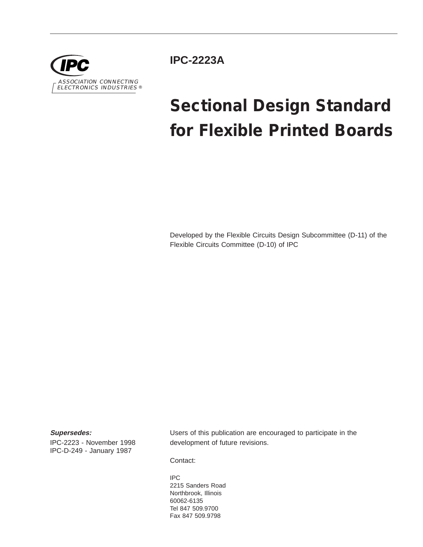

**IPC-2223A**

# **Sectional Design Standard for Flexible Printed Boards**

Developed by the Flexible Circuits Design Subcommittee (D-11) of the Flexible Circuits Committee (D-10) of IPC

#### **Supersedes:**

IPC-2223 - November 1998 IPC-D-249 - January 1987

Users of this publication are encouraged to participate in the development of future revisions.

Contact:

IPC 2215 Sanders Road Northbrook, Illinois 60062-6135 Tel 847 509.9700 Fax 847 509.9798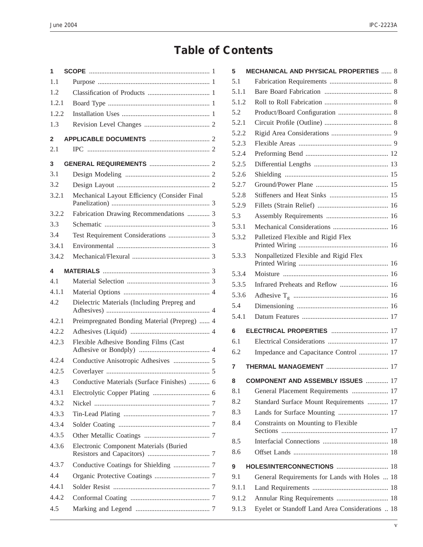## **Table of Contents**

| 1     |                                              |  |
|-------|----------------------------------------------|--|
| 1.1   |                                              |  |
| 1.2   |                                              |  |
| 1.2.1 |                                              |  |
| 1.2.2 |                                              |  |
| 1.3   |                                              |  |
| 2     |                                              |  |
| 2.1   |                                              |  |
| 3     |                                              |  |
| 3.1   |                                              |  |
| 3.2   |                                              |  |
| 3.2.1 | Mechanical Layout Efficiency (Consider Final |  |
| 3.2.2 | Fabrication Drawing Recommendations  3       |  |
| 3.3   |                                              |  |
| 3.4   |                                              |  |
| 3.4.1 |                                              |  |
| 3.4.2 |                                              |  |
| 4     |                                              |  |
| 4.1   |                                              |  |
| 4.1.1 |                                              |  |
| 4.2   | Dielectric Materials (Including Prepreg and  |  |
| 4.2.1 | Preimpregnated Bonding Material (Prepreg)  4 |  |
| 4.2.2 |                                              |  |
| 4.2.3 | Flexible Adhesive Bonding Films (Cast        |  |
| 4.2.4 |                                              |  |
| 4.2.5 |                                              |  |
| 4.3   | Conductive Materials (Surface Finishes)  6   |  |
| 4.3.1 |                                              |  |
| 4.3.2 |                                              |  |
| 4.3.3 |                                              |  |
| 4.3.4 |                                              |  |
| 4.3.5 |                                              |  |
| 4.3.6 | Electronic Component Materials (Buried       |  |
| 4.3.7 |                                              |  |
| 4.4   |                                              |  |
| 4.4.1 |                                              |  |
| 4.4.2 |                                              |  |
| 4.5   |                                              |  |

| <b>MECHANICAL AND PHYSICAL PROPERTIES  8</b><br>5 |                                                 |  |
|---------------------------------------------------|-------------------------------------------------|--|
| 5.1                                               |                                                 |  |
| 5.1.1                                             |                                                 |  |
| 5.1.2                                             |                                                 |  |
| 5.2                                               |                                                 |  |
| 5.2.1                                             |                                                 |  |
| 5.2.2                                             |                                                 |  |
| 5.2.3                                             |                                                 |  |
| 5.2.4                                             |                                                 |  |
| 5.2.5                                             |                                                 |  |
| 5.2.6                                             |                                                 |  |
| 5.2.7                                             |                                                 |  |
| 5.2.8                                             |                                                 |  |
| 5.2.9                                             |                                                 |  |
| 5.3                                               |                                                 |  |
| 5.3.1                                             |                                                 |  |
| 5.3.2                                             | Palletized Flexible and Rigid Flex              |  |
| 5.3.3                                             | Nonpalletized Flexible and Rigid Flex           |  |
| 5.3.4                                             |                                                 |  |
| 5.3.5                                             | Infrared Preheats and Reflow  16                |  |
| 5.3.6                                             |                                                 |  |
| 5.4                                               |                                                 |  |
| 5.4.1                                             |                                                 |  |
| 6                                                 |                                                 |  |
| 6.1                                               |                                                 |  |
| 6.2                                               | Impedance and Capacitance Control  17           |  |
| 7                                                 |                                                 |  |
| 8                                                 | <b>COMPONENT AND ASSEMBLY ISSUES  17</b>        |  |
| 8.1                                               | General Placement Requirements  17              |  |
| 8.2                                               | Standard Surface Mount Requirements  17         |  |
| 8.3                                               |                                                 |  |
| 8.4                                               | Constraints on Mounting to Flexible             |  |
| 8.5                                               |                                                 |  |
| 8.6                                               |                                                 |  |
| 9                                                 | HOLES/INTERCONNECTIONS  18                      |  |
| 9.1                                               | General Requirements for Lands with Holes  18   |  |
| 9.1.1                                             |                                                 |  |
| 9.1.2                                             |                                                 |  |
| 9.1.3                                             | Eyelet or Standoff Land Area Considerations  18 |  |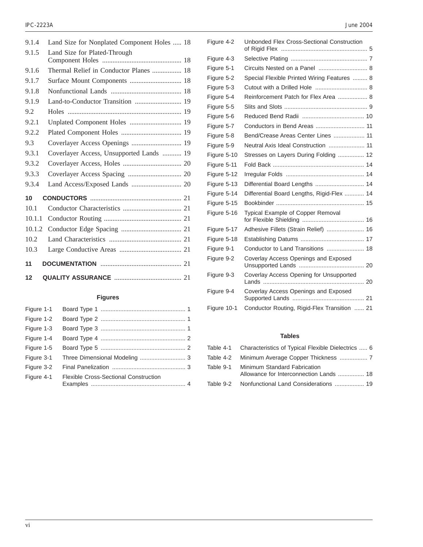| 9.1.4  | Land Size for Nonplated Component Holes  18 |  |
|--------|---------------------------------------------|--|
| 9.1.5  | Land Size for Plated-Through                |  |
|        |                                             |  |
| 9.1.6  | Thermal Relief in Conductor Planes  18      |  |
| 9.1.7  | Surface Mount Components  18                |  |
| 9.1.8  |                                             |  |
| 9.1.9  | Land-to-Conductor Transition  19            |  |
| 9.2    |                                             |  |
| 9.2.1  | Unplated Component Holes  19                |  |
| 9.2.2  |                                             |  |
| 9.3    | Coverlayer Access Openings  19              |  |
| 9.3.1  | Coverlayer Access, Unsupported Lands  19    |  |
| 9.3.2  |                                             |  |
| 9.3.3  |                                             |  |
| 9.3.4  |                                             |  |
| 10     |                                             |  |
| 10.1   |                                             |  |
| 10.1.1 |                                             |  |
| 10.1.2 |                                             |  |
| 10.2   |                                             |  |
| 10.3   |                                             |  |
| 11     |                                             |  |
|        |                                             |  |
| 12     |                                             |  |

#### **Figures**

| Figure 1-1 |                                              |  |
|------------|----------------------------------------------|--|
| Figure 1-2 |                                              |  |
| Figure 1-3 |                                              |  |
| Figure 1-4 |                                              |  |
| Figure 1-5 |                                              |  |
| Figure 3-1 |                                              |  |
| Figure 3-2 |                                              |  |
| Figure 4-1 | <b>Flexible Cross-Sectional Construction</b> |  |

| Figure 4-2  | Unbonded Flex Cross-Sectional Construction  |  |
|-------------|---------------------------------------------|--|
| Figure 4-3  |                                             |  |
| Figure 5-1  |                                             |  |
| Figure 5-2  | Special Flexible Printed Wiring Features  8 |  |
| Figure 5-3  |                                             |  |
| Figure 5-4  | Reinforcement Patch for Flex Area  8        |  |
| Figure 5-5  |                                             |  |
| Figure 5-6  |                                             |  |
| Figure 5-7  |                                             |  |
| Figure 5-8  | Bend/Crease Areas Center Lines  11          |  |
| Figure 5-9  | Neutral Axis Ideal Construction  11         |  |
| Figure 5-10 | Stresses on Layers During Folding  12       |  |
| Figure 5-11 |                                             |  |
| Figure 5-12 |                                             |  |
| Figure 5-13 | Differential Board Lengths  14              |  |
| Figure 5-14 | Differential Board Lengths, Rigid-Flex  14  |  |
| Figure 5-15 |                                             |  |
| Figure 5-16 | Typical Example of Copper Removal           |  |
| Figure 5-17 | Adhesive Fillets (Strain Relief)  16        |  |
| Figure 5-18 |                                             |  |
| Figure 9-1  |                                             |  |
| Figure 9-2  | Coverlay Access Openings and Exposed        |  |
| Figure 9-3  | Coverlay Access Opening for Unsupported     |  |
| Figure 9-4  | Coverlay Access Openings and Exposed        |  |
|             |                                             |  |

#### **Tables**

Figure 10-1 Conductor Routing, Rigid-Flex Transition ...... 21

|           | Table 4-1 Characteristics of Typical Flexible Dielectrics  6            |
|-----------|-------------------------------------------------------------------------|
|           |                                                                         |
| Table 9-1 | Minimum Standard Fabrication<br>Allowance for Interconnection Lands  18 |
|           | Table 9-2 Nonfunctional Land Considerations  19                         |